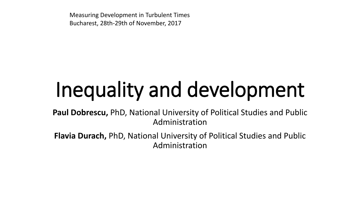Measuring Development in Turbulent Times Bucharest, 28th-29th of November, 2017

# Inequality and development

**Paul Dobrescu,** PhD, National University of Political Studies and Public Administration

**Flavia Durach,** PhD, National University of Political Studies and Public Administration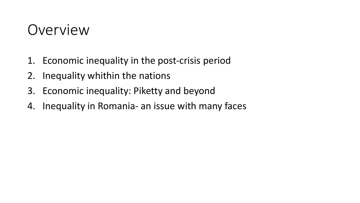### Overview

- 1. Economic inequality in the post-crisis period
- 2. Inequality whithin the nations
- 3. Economic inequality: Piketty and beyond
- 4. Inequality in Romania- an issue with many faces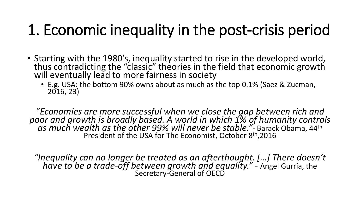## 1. Economic inequality in the post-crisis period

- Starting with the 1980's, inequality started to rise in the developed world, thus contradicting the "classic" theories in the field that economic growth will eventually lead to more fairness in society
	- E.g. USA: the bottom 90% owns about as much as the top 0.1% (Saez & Zucman, 2016, 23)

*"Economies are more successful when we close the gap between rich and poor and growth is broadly based. A world in which 1% of humanity controls as much wealth as the other 99% will never be stable."-* Barack Obama, 44th President of the USA for The Economist, October 8th,2016

*"Inequality can no longer be treated as an afterthought. […] There doesn't have to be a trade-off between growth and equality."* - Angel Gurría, the Secretary-General of OECD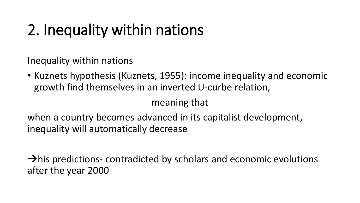# 2. Inequality within nations

Inequality within nations

• Kuznets hypothesis (Kuznets, 1955): income inequality and economic growth find themselves in an inverted U-curbe relation,

meaning that

when a country becomes advanced in its capitalist development, inequality will automatically decrease

 $\rightarrow$ his predictions- contradicted by scholars and economic evolutions after the year 2000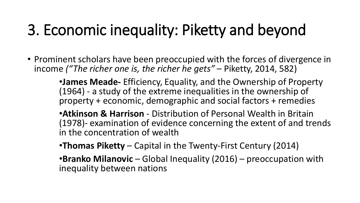## 3. Economic inequality: Piketty and beyond

- Prominent scholars have been preoccupied with the forces of divergence in income *("The richer one is, the richer he gets"* – Piketty, 2014, 582)
	- •**James Meade-** Efficiency, Equality, and the Ownership of Property (1964) - a study of the extreme inequalities in the ownership of property + economic, demographic and social factors + remedies
	- •**Atkinson & Harrison**  Distribution of Personal Wealth in Britain (1978)- examination of evidence concerning the extent of and trends in the concentration of wealth
	- •**Thomas Piketty** Capital in the Twenty-First Century (2014)
	- •**Branko Milanovic** Global Inequality (2016) preoccupation with inequality between nations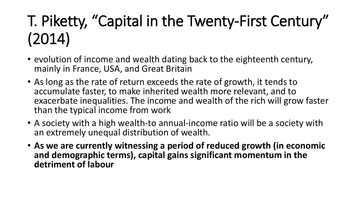# T. Piketty, "Capital in the Twenty-First Century" (2014)

- evolution of income and wealth dating back to the eighteenth century, mainly in France, USA, and Great Britain
- As long as the rate of return exceeds the rate of growth, it tends to accumulate faster, to make inherited wealth more relevant, and to exacerbate inequalities. The income and wealth of the rich will grow faster than the typical income from work
- A society with a high wealth-to annual-income ratio will be a society with an extremely unequal distribution of wealth.
- **As we are currently witnessing a period of reduced growth (in economic and demographic terms), capital gains significant momentum in the detriment of labour**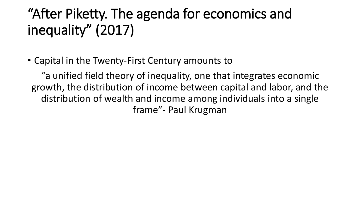### "After Piketty. The agenda for economics and inequality" (2017)

• Capital in the Twenty-First Century amounts to

*"*a unified field theory of inequality, one that integrates economic growth, the distribution of income between capital and labor, and the distribution of wealth and income among individuals into a single frame"- Paul Krugman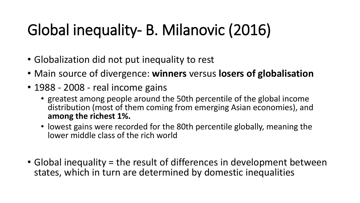# Global inequality- B. Milanovic (2016)

- Globalization did not put inequality to rest
- Main source of divergence: **winners** versus **losers of globalisation**
- 1988 2008 real income gains
	- greatest among people around the 50th percentile of the global income distribution (most of them coming from emerging Asian economies), and **among the richest 1%.**
	- lowest gains were recorded for the 80th percentile globally, meaning the lower middle class of the rich world
- Global inequality = the result of differences in development between states, which in turn are determined by domestic inequalities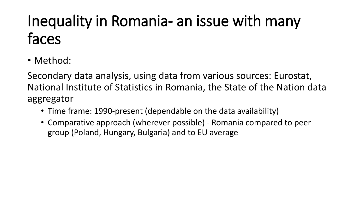# Inequality in Romania- an issue with many faces

• Method:

Secondary data analysis, using data from various sources: Eurostat, National Institute of Statistics in Romania, the State of the Nation data aggregator

- Time frame: 1990-present (dependable on the data availability)
- Comparative approach (wherever possible) Romania compared to peer group (Poland, Hungary, Bulgaria) and to EU average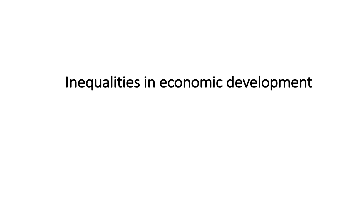### Inequalities in economic development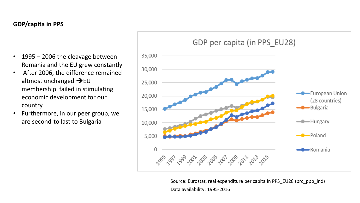#### **GDP/capita in PPS**

- 1995 2006 the cleavage between Romania and the EU grew constantly
- After 2006, the difference remained altmost unchanged  $\rightarrow$  EU membership failed in stimulating economic development for our country
- Furthermore, in our peer group, we are second-to last to Bulgaria



Source: Eurostat, real expenditure per capita in PPS\_EU28 (prc\_ppp\_ind) Data availability: 1995-2016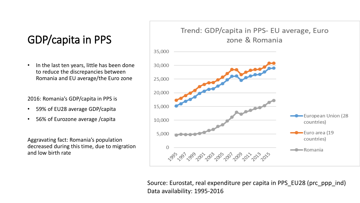### GDP/capita in PPS

In the last ten years, little has been done to reduce the discrepancies between Romania and EU average/the Euro zone

2016: Romania's GDP/capita in PPS is

- 59% of EU28 average GDP/capita
- 56% of Eurozone average /capita

Aggravating fact: Romania's population decreased during this time, due to migration and low birth rate

#### Trend: GDP/capita in PPS- EU average, Euro zone & Romania



Source: Eurostat, real expenditure per capita in PPS\_EU28 (prc\_ppp\_ind) Data availability: 1995-2016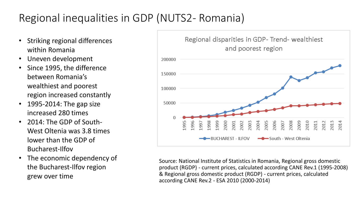### Regional inequalities in GDP (NUTS2- Romania)

- Striking regional differences within Romania
- Uneven development
- Since 1995, the difference between Romania's wealthiest and poorest region increased constantly
- 1995-2014: The gap size increased 280 times
- 2014: The GDP of South-West Oltenia was 3.8 times lower than the GDP of Bucharest-Ilfov
- The economic dependency of the Bucharest-Ilfov region grew over time



Source: National Institute of Statistics in Romania, Regional gross domestic product (RGDP) - current prices, calculated according CANE Rev.1 (1995-2008) & Regional gross domestic product (RGDP) - current prices, calculated according CANE Rev.2 - ESA 2010 (2000-2014)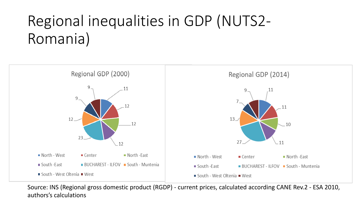## Regional inequalities in GDP (NUTS2- Romania)



Source: INS (Regional gross domestic product (RGDP) - current prices, calculated according CANE Rev.2 - ESA 2010, authors's calculations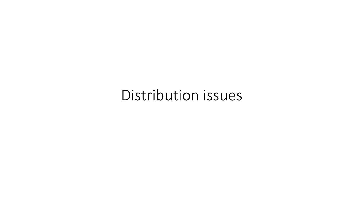### Distribution issues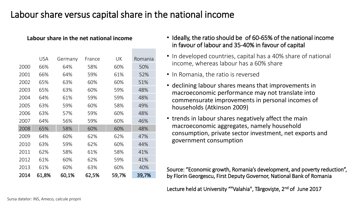### Labour share versus capital share in the national income

#### **Labour share in the net national income**

|      | USA   | Germany | France | UK    | Romania |
|------|-------|---------|--------|-------|---------|
| 2000 | 66%   | 64%     | 58%    | 60%   | 50%     |
| 2001 | 66%   | 64%     | 59%    | 61%   | 52%     |
| 2002 | 65%   | 63%     | 60%    | 60%   | 51%     |
| 2003 | 65%   | 63%     | 60%    | 59%   | 48%     |
| 2004 | 64%   | 61%     | 59%    | 59%   | 48%     |
| 2005 | 63%   | 59%     | 60%    | 58%   | 49%     |
| 2006 | 63%   | 57%     | 59%    | 60%   | 48%     |
| 2007 | 64%   | 56%     | 59%    | 60%   | 46%     |
| 2008 | 65%   | 58%     | 60%    | 60%   | 48%     |
| 2009 | 64%   | 60%     | 62%    | 62%   | 47%     |
| 2010 | 63%   | 59%     | 62%    | 60%   | 44%     |
| 2011 | 62%   | 58%     | 61%    | 58%   | 41%     |
| 2012 | 61%   | 60%     | 62%    | 59%   | 41%     |
| 2013 | 61%   | 60%     | 63%    | 60%   | 40%     |
| 2014 | 61,8% | 60,1%   | 62,5%  | 59,7% | 39,7%   |

- Ideally, the ratio should be of 60-65% of the national income in favour of labour and 35-40% in favour of capital
- In developed countries, capital has a 40% share of national income, whereas labour has a 60% share
- In Romania, the ratio is reversed
- declining labour shares means that improvements in macroeconomic performance may not translate into commensurate improvements in personal incomes of households (Atkinson 2009)
- trends in labour shares negatively affect the main macroeconomic aggregates, namely household consumption, private sector investment, net exports and government consumption

Source: "Economic growth, Romania's development, and poverty reduction", by Florin Georgescu, First Deputy Governor, National Bank of Romania

Lecture held at University ""Valahia", Târgovişte, 2<sup>nd</sup> of June 2017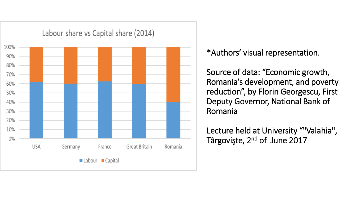

### \*Authors' visual representation.

Source of data: "Economic growth, Romania's development, and poverty reduction", by Florin Georgescu, First Deputy Governor, National Bank of Romania

Lecture held at University ""Valahia", Târgovişte, 2<sup>nd</sup> of June 2017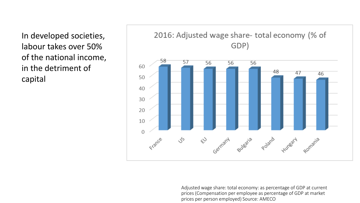In developed societies, labour takes over 50% of the national income, in the detriment of capital



Adjusted wage share: total economy: as percentage of GDP at current prices (Compensation per employee as percentage of GDP at market prices per person employed) Source: AMECO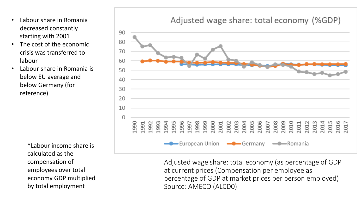- Labour share in Romania decreased constantly starting with 2001
- The cost of the economic crisis was transferred to labour
- Labour share in Romania is below EU average and below Germany (for reference)

\*Labour income share is calculated as the compensation of employees over total economy GDP multiplied by total employment

### Adjusted wage share: total economy (%GDP)



Adjusted wage share: total economy (as percentage of GDP at current prices (Compensation per employee as percentage of GDP at market prices per person employed) Source: AMECO (ALCD0)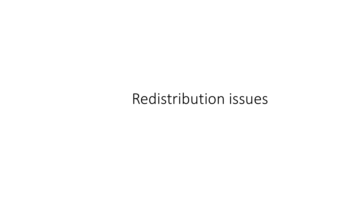### Redistribution issues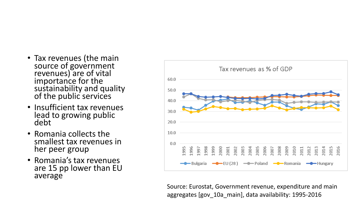- Tax revenues (the main source of government revenues) are of vital importance for the sustainability and quality of the public services
- Insufficient tax revenues lead to growing public debt
- Romania collects the smallest tax revenues in her peer group
- Romania's tax revenues are 15 pp lower than EU average



Source: Eurostat, Government revenue, expenditure and main aggregates [gov\_10a\_main], data availability: 1995-2016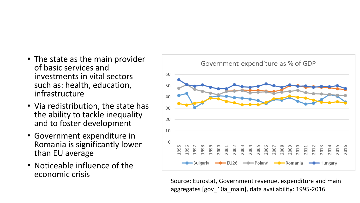- The state as the main provider of basic services and investments in vital sectors such as: health, education, infrastructure
- Via redistribution, the state has the ability to tackle inequality and to foster development
- Government expenditure in Romania is significantly lower than EU average
- Noticeable influence of the economic crisis



Source: Eurostat, Government revenue, expenditure and main aggregates [gov\_10a\_main], data availability: 1995-2016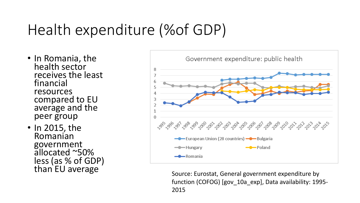## Health expenditure (%of GDP)

- In Romania, the health sector receives the least financial resources compared to EU average and the peer group
- In 2015, the Romanian government allocated ~50% less (as % of GDP)<br>than EU average



Source: Eurostat, General government expenditure by function (COFOG) [gov\_10a\_exp], Data availability: 1995- 2015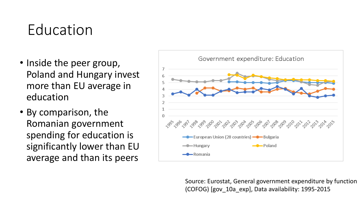### Education

- Inside the peer group, Poland and Hungary invest more than EU average in education
- By comparison, the Romanian government spending for education is significantly lower than EU average and than its peers



Source: Eurostat, General government expenditure by function (COFOG) [gov\_10a\_exp], Data availability: 1995-2015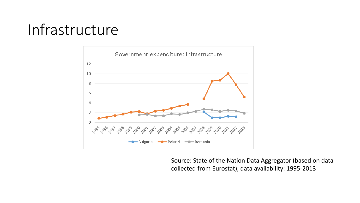### Infrastructure



Source: State of the Nation Data Aggregator (based on data collected from Eurostat), data availability: 1995-2013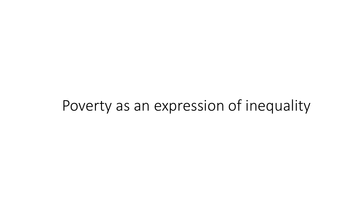### Poverty as an expression of inequality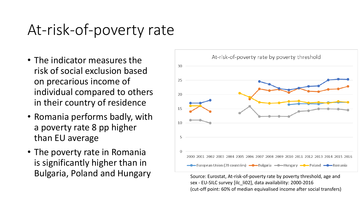### At-risk-of-poverty rate

- The indicator measures the risk of social exclusion based on precarious income of individual compared to others in their country of residence
- Romania performs badly, with a poverty rate 8 pp higher than EU average
- The poverty rate in Romania is significantly higher than in Bulgaria, Poland and Hungary Source: Eurostat, At-risk-of-poverty rate by poverty threshold, age and



sex - EU-SILC survey [ilc\_li02], data availability: 2000-2016 (cut-off point: 60% of median equivalised income after social transfers)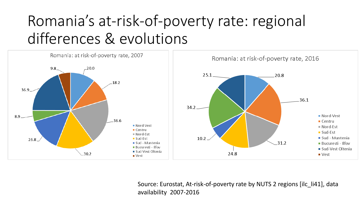## Romania's at-risk-of-poverty rate: regional differences & evolutions



Source: Eurostat, At-risk-of-poverty rate by NUTS 2 regions [ilc\_li41], data availability 2007-2016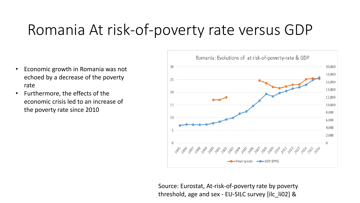### Romania At risk-of-poverty rate versus GDP

- Economic growth in Romania was not echoed by a decrease of the poverty rate
- Furthermore, the effects of the economic crisis led to an increase of the poverty rate since 2010



Source: Eurostat, At-risk-of-poverty rate by poverty threshold, age and sex - EU-SILC survey [ilc\_li02] &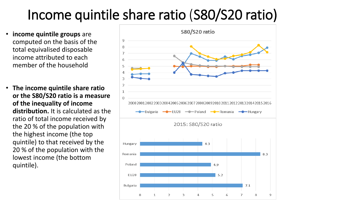### Income quintile share ratio (S80/S20 ratio)

- **income quintile groups** are computed on the basis of the total equivalised disposable income attributed to each member of the household
- **The income quintile share ratio or the S80/S20 ratio is a measure of the inequality of income distribution.** It is calculated as the ratio of total income received by the 20 % of the population with the highest income (the top quintile) to that received by the 20 % of the population with the lowest income (the bottom quintile).

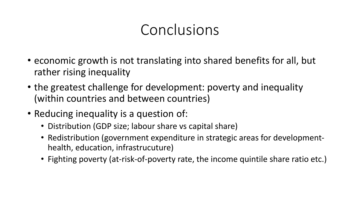### Conclusions

- economic growth is not translating into shared benefits for all, but rather rising inequality
- the greatest challenge for development: poverty and inequality (within countries and between countries)
- Reducing inequality is a question of:
	- Distribution (GDP size; labour share vs capital share)
	- Redistribution (government expenditure in strategic areas for developmenthealth, education, infrastrucuture)
	- Fighting poverty (at-risk-of-poverty rate, the income quintile share ratio etc.)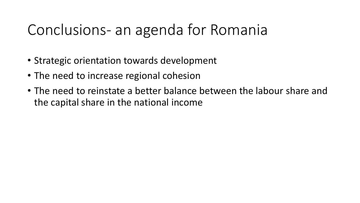### Conclusions- an agenda for Romania

- Strategic orientation towards development
- The need to increase regional cohesion
- The need to reinstate a better balance between the labour share and the capital share in the national income